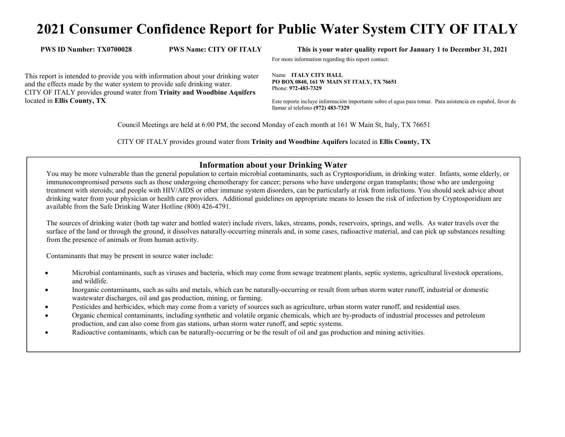# **2021 Consumer Confidence Report for Public Water System CITY OF ITALY**

**PWS ID Number: TX0700028 PWS Name: CITY OF ITALY This is your water quality report for January 1 to December 31, 2021** 

For more information regarding this report contact:

This report is intended to provide you with information about your drinking water and the effects made by the water system to provide safe drinking water. CITY OF ITALY provides ground water from **Trinity and Woodbine Aquifers**located in **Ellis County, TX**.

Name **ITALY CITY HALL PO BOX 0840, 161 W MAIN ST ITALY, TX 76651** Phone: **972-483-7329** 

Este reporte incluye información importante sobre el agua para tomar. Para asistencia en español, favor de llamar al telefono **(972) 483-7329** 

Council Meetings are held at 6:00 PM, the second Monday of each month at 161 W Main St, Italy, TX 76651

CITY OF ITALY provides ground water from **Trinity and Woodbine Aquifers** located in **Ellis County, TX**

#### **Information about your Drinking Water**

 You may be more vulnerable than the general population to certain microbial contaminants, such as Cryptosporidium, in drinking water. Infants, some elderly, or immunocompromised persons such as those undergoing chemotherapy for cancer; persons who have undergone organ transplants; those who are undergoing treatment with steroids; and people with HIV/AIDS or other immune system disorders, can be particularly at risk from infections. You should seek advice about drinking water from your physician or health care providers. Additional guidelines on appropriate means to lessen the risk of infection by Cryptosporidium are available from the Safe Drinking Water Hotline (800) 426-4791.

The sources of drinking water (both tap water and bottled water) include rivers, lakes, streams, ponds, reservoirs, springs, and wells. As water travels over the surface of the land or through the ground, it dissolves naturally-occurring minerals and, in some cases, radioactive material, and can pick up substances resulting from the presence of animals or from human activity.

Contaminants that may be present in source water include:

- $\bullet$  Microbial contaminants, such as viruses and bacteria, which may come from sewage treatment plants, septic systems, agricultural livestock operations, and wildlife.
- $\bullet$  Inorganic contaminants, such as salts and metals, which can be naturally-occurring or result from urban storm water runoff, industrial or domestic wastewater discharges, oil and gas production, mining, or farming.
- 0 Pesticides and herbicides, which may come from a variety of sources such as agriculture, urban storm water runoff, and residential uses.
- $\bullet$  Organic chemical contaminants, including synthetic and volatile organic chemicals, which are by-products of industrial processes and petroleum production, and can also come from gas stations, urban storm water runoff, and septic systems.
- 0 Radioactive contaminants, which can be naturally-occurring or be the result of oil and gas production and mining activities.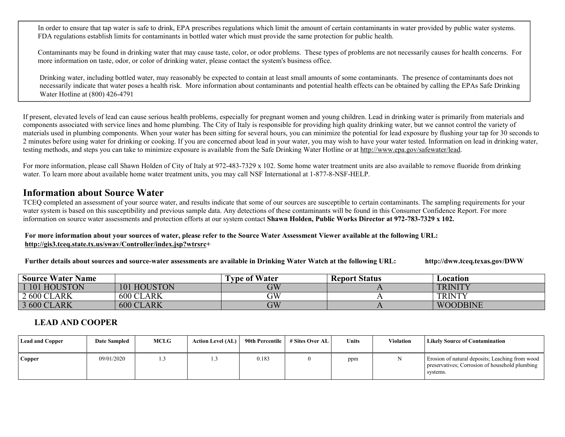In order to ensure that tap water is safe to drink, EPA prescribes regulations which limit the amount of certain contaminants in water provided by public water systems. FDA regulations establish limits for contaminants in bottled water which must provide the same protection for public health.

Contaminants may be found in drinking water that may cause taste, color, or odor problems. These types of problems are not necessarily causes for health concerns. For more information on taste, odor, or color of drinking water, please contact the system's business office.

Drinking water, including bottled water, may reasonably be expected to contain at least small amounts of some contaminants. The presence of contaminants does not necessarily indicate that water poses a health risk. More information about contaminants and potential health effects can be obtained by calling the EPAs Safe Drinking Water Hotline at (800) 426-4791

If present, elevated levels of lead can cause serious health problems, especially for pregnant women and young children. Lead in drinking water is primarily from materials and components associated with service lines and home plumbing. The City of Italy is responsible for providing high quality drinking water, but we cannot control the variety of materials used in plumbing components. When your water has been sitting for several hours, you can minimize the potential for lead exposure by flushing your tap for 30 seconds to 2 minutes before using water for drinking or cooking. If you are concerned about lead in your water, you may wish to have your water tested. Information on lead in drinking water, testing methods, and steps you can take to minimize exposure is available from the Safe Drinking Water Hotline or at http://www.epa.gov/safewater/lead.

For more information, please call Shawn Holden of City of Italy at 972-483-7329 x 102. Some home water treatment units are also available to remove fluoride from drinking water. To learn more about available home water treatment units, you may call NSF International at 1-877-8-NSF-HELP.

## **Information about Source Water**

 TCEQ completed an assessment of your source water, and results indicate that some of our sources are susceptible to certain contaminants. The sampling requirements for your water system is based on this susceptibility and previous sample data. Any detections of these contaminants will be found in this Consumer Confidence Report. For more information on source water assessments and protection efforts at our system contact **Shawn Holden, Public Works Director at 972-783-7329 x 102.** 

**For more information about your sources of water, please refer to the Source Water Assessment Viewer available at the following URL: http://gis3.tceq.state.tx.us/swav/Controller/index.jsp?wtrsrc+** 

**Further details about sources and source-water assessments are available in Drinking Water Watch at the following URL: http://dww.tceq.texas.gov/DWW**

| <b>Source Water Name</b> |                  | <b>Type of Water</b> | <b>Report Status</b> | Location        |
|--------------------------|------------------|----------------------|----------------------|-----------------|
| 101 HOUSTON              | 101 HOUSTON      | $\rm GW$             |                      | <b>TRINITY</b>  |
| 2 600 CLARK              | 600 CLARK        | GW                   |                      | <b>TRINTY</b>   |
| 3 600 CLARK              | <b>600 CLARK</b> | $\rm GW$             |                      | <b>WOODBINE</b> |
|                          |                  |                      |                      |                 |

### **LEAD AND COOPER**

| <b>Lead and Copper</b> | <b>Date Sampled</b> | <b>MCLG</b> | <b>Action Level (AL)</b> | 90th Percentile | # Sites Over AL | <b>Units</b> | Violation | <b>Likely Source of Contamination</b>                                                                         |
|------------------------|---------------------|-------------|--------------------------|-----------------|-----------------|--------------|-----------|---------------------------------------------------------------------------------------------------------------|
| <b>Copper</b>          | 09/01/2020          | l.3         |                          | 0.183           |                 | ppm          |           | Erosion of natural deposits; Leaching from wood<br>preservatives; Corrosion of household plumbing<br>systems. |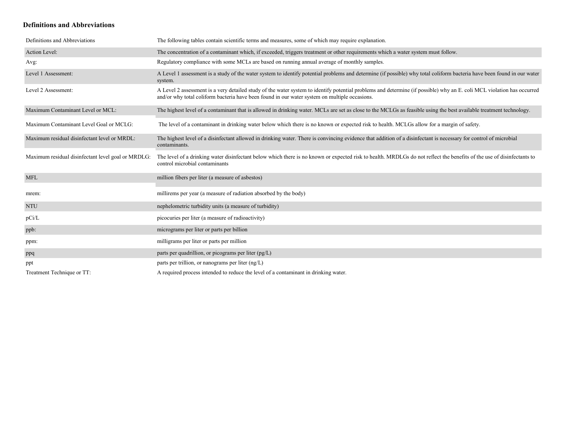#### **Definitions and Abbreviations**

| Definitions and Abbreviations                      | The following tables contain scientific terms and measures, some of which may require explanation.                                                                                                                                                                      |
|----------------------------------------------------|-------------------------------------------------------------------------------------------------------------------------------------------------------------------------------------------------------------------------------------------------------------------------|
| Action Level:                                      | The concentration of a contaminant which, if exceeded, triggers treatment or other requirements which a water system must follow.                                                                                                                                       |
| Avg:                                               | Regulatory compliance with some MCLs are based on running annual average of monthly samples.                                                                                                                                                                            |
| Level 1 Assessment:                                | A Level 1 assessment is a study of the water system to identify potential problems and determine (if possible) why total coliform bacteria have been found in our water<br>system.                                                                                      |
| Level 2 Assessment:                                | A Level 2 assessment is a very detailed study of the water system to identify potential problems and determine (if possible) why an E. coli MCL violation has occurred<br>and/or why total coliform bacteria have been found in our water system on multiple occasions. |
| Maximum Contaminant Level or MCL:                  | The highest level of a contaminant that is allowed in drinking water. MCLs are set as close to the MCLGs as feasible using the best available treatment technology.                                                                                                     |
| Maximum Contaminant Level Goal or MCLG:            | The level of a contaminant in drinking water below which there is no known or expected risk to health. MCLGs allow for a margin of safety.                                                                                                                              |
| Maximum residual disinfectant level or MRDL:       | The highest level of a disinfectant allowed in drinking water. There is convincing evidence that addition of a disinfectant is necessary for control of microbial<br>contaminants.                                                                                      |
| Maximum residual disinfectant level goal or MRDLG: | The level of a drinking water disinfectant below which there is no known or expected risk to health. MRDLGs do not reflect the benefits of the use of disinfectants to<br>control microbial contaminants                                                                |
| <b>MFL</b>                                         | million fibers per liter (a measure of asbestos)                                                                                                                                                                                                                        |
| mrem:                                              | millirems per year (a measure of radiation absorbed by the body)                                                                                                                                                                                                        |
| <b>NTU</b>                                         | nephelometric turbidity units (a measure of turbidity)                                                                                                                                                                                                                  |
| pCi/L                                              | picocuries per liter (a measure of radioactivity)                                                                                                                                                                                                                       |
| ppb:                                               | micrograms per liter or parts per billion                                                                                                                                                                                                                               |
| ppm:                                               | milligrams per liter or parts per million                                                                                                                                                                                                                               |
| ppq                                                | parts per quadrillion, or picograms per liter (pg/L)                                                                                                                                                                                                                    |
| ppt                                                | parts per trillion, or nanograms per liter $(ng/L)$                                                                                                                                                                                                                     |
| Treatment Technique or TT:                         | A required process intended to reduce the level of a contaminant in drinking water.                                                                                                                                                                                     |